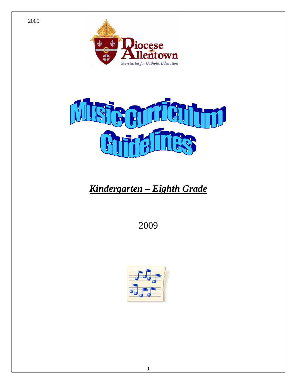



# *Kindergarten – Eighth Grade*

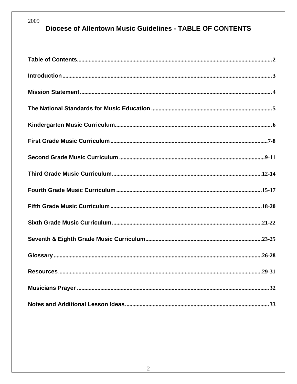# **Diocese of Allentown Music Guidelines - TABLE OF CONTENTS**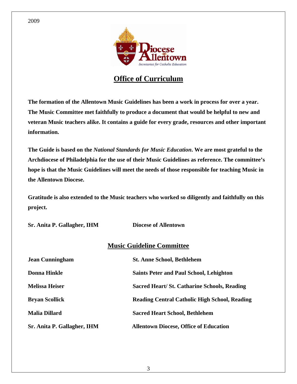

# **Office of Curriculum**

**The formation of the Allentown Music Guidelines has been a work in process for over a year. The Music Committee met faithfully to produce a document that would be helpful to new and veteran Music teachers alike. It contains a guide for every grade, resources and other important information.** 

**The Guide is based on the** *National Standards for Music Education***. We are most grateful to the Archdiocese of Philadelphia for the use of their Music Guidelines as reference. The committee's hope is that the Music Guidelines will meet the needs of those responsible for teaching Music in the Allentown Diocese.** 

**Gratitude is also extended to the Music teachers who worked so diligently and faithfully on this project.** 

**Sr. Anita P. Gallagher, IHM Diocese of Allentown Music Guideline Committee Jean Cunningham St. Anne School, Bethlehem Donna Hinkle Saints Peter and Paul School, Lehighton Melissa Heiser** Sacred Heart/ St. Catharine Schools, Reading **Schools Bryan Scollick Reading Central Catholic High School, Reading Malia Dillard Sacred Heart School, Bethlehem Sr. Anita P. Gallagher, IHM Allentown Diocese, Office of Education**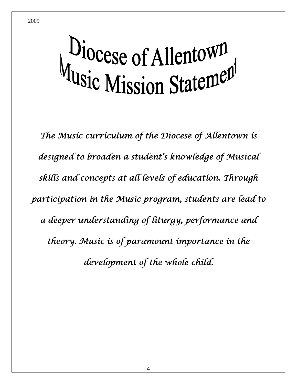# Diocese of Allentown<br>Music Mission Statement

*The Music curriculum of the Diocese of Allentown is designed to broaden a student's knowledge of Musical skills and concepts at all levels of education. Through participation in the Music program, students are lead to a deeper understanding of liturgy, performance and theory. Music is of paramount importance in the development of the whole child.*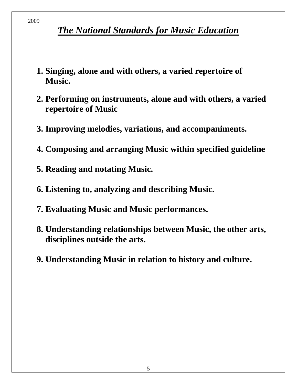# *The National Standards for Music Education*

- **1. Singing, alone and with others, a varied repertoire of Music.**
- **2. Performing on instruments, alone and with others, a varied repertoire of Music**
- **3. Improving melodies, variations, and accompaniments.**
- **4. Composing and arranging Music within specified guideline**
- **5. Reading and notating Music.**
- **6. Listening to, analyzing and describing Music.**
- **7. Evaluating Music and Music performances.**
- **8. Understanding relationships between Music, the other arts, disciplines outside the arts.**
- **9. Understanding Music in relation to history and culture.**

2009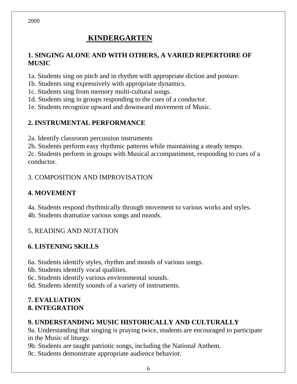# **KINDERGARTEN**

## **1. SINGING ALONE AND WITH OTHERS, A VARIED REPERTOIRE OF MUSIC**

1a. Students sing on pitch and in rhythm with appropriate diction and posture.

1b. Students sing expressively with appropriate dynamics.

1c. Students sing from memory multi-cultural songs.

1d. Students sing in groups responding to the cues of a conductor.

1e. Students recognize upward and downward movement of Music.

# **2. INSTRUMENTAL PERFORMANCE**

2a. Identify classroom percussion instruments

2b. Students perform easy rhythmic patterns while maintaining a steady tempo. 2c. Students perform in groups with Musical accompaniment, responding to cues of a

conductor.

# 3. COMPOSITION AND IMPROVISATION

# **4. MOVEMENT**

4a. Students respond rhythmically through movement to various works and styles. 4b. Students dramatize various songs and moods.

# 5. READING AND NOTATION

# **6. LISTENING SKILLS**

6a. Students identify styles, rhythm and moods of various songs.

6b. Students identify vocal qualities.

6c. Students identify various environmental sounds.

6d. Students identify sounds of a variety of instruments.

#### **7. EVALUATION 8. INTEGRATION**

# **9. UNDERSTANDING MUSIC HISTORICALLY AND CULTURALLY**

9a. Understanding that singing is praying twice, students are encouraged to participate in the Music of liturgy.

9b. Students are taught patriotic songs, including the National Anthem.

9c. Students demonstrate appropriate audience behavior.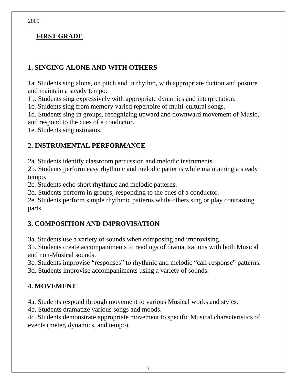#### **FIRST GRADE**

#### **1. SINGING ALONE AND WITH OTHERS**

1a. Students sing alone, on pitch and in rhythm, with appropriate diction and posture and maintain a steady tempo.

1b. Students sing expressively with appropriate dynamics and interpretation.

1c. Students sing from memory varied repertoire of multi-cultural songs.

1d. Students sing in groups, recognizing upward and downward movement of Music, and respond to the cues of a conductor.

1e. Students sing ostinatos.

#### **2. INSTRUMENTAL PERFORMANCE**

2a. Students identify classroom percussion and melodic instruments.

2b. Students perform easy rhythmic and melodic patterns while maintaining a steady tempo.

2c. Students echo short rhythmic and melodic patterns.

2d. Students perform in groups, responding to the cues of a conductor.

2e. Students perform simple rhythmic patterns while others sing or play contrasting parts.

## **3. COMPOSITION AND IMPROVISATION**

3a. Students use a variety of sounds when composing and improvising.

3b. Students create accompaniments to readings of dramatizations with both Musical and non-Musical sounds.

3c. Students improvise "responses" to rhythmic and melodic "call-response" patterns. 3d. Students improvise accompaniments using a variety of sounds.

## **4. MOVEMENT**

4a. Students respond through movement to various Musical works and styles.

4b. Students dramatize various songs and moods.

4c. Students demonstrate appropriate movement to specific Musical characteristics of events (meter, dynamics, and tempo).

2009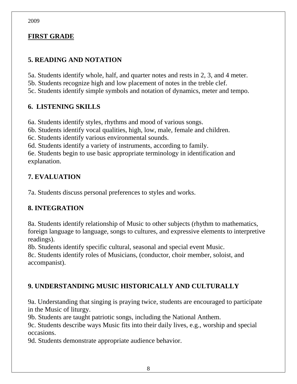## **FIRST GRADE**

2009

# **5. READING AND NOTATION**

5a. Students identify whole, half, and quarter notes and rests in 2, 3, and 4 meter. 5b. Students recognize high and low placement of notes in the treble clef. 5c. Students identify simple symbols and notation of dynamics, meter and tempo.

#### **6. LISTENING SKILLS**

6a. Students identify styles, rhythms and mood of various songs.

6b. Students identify vocal qualities, high, low, male, female and children.

6c. Students identify various environmental sounds.

6d. Students identify a variety of instruments, according to family.

6e. Students begin to use basic appropriate terminology in identification and explanation.

# **7. EVALUATION**

7a. Students discuss personal preferences to styles and works.

## **8. INTEGRATION**

8a. Students identify relationship of Music to other subjects (rhythm to mathematics, foreign language to language, songs to cultures, and expressive elements to interpretive readings).

8b. Students identify specific cultural, seasonal and special event Music.

8c. Students identify roles of Musicians, (conductor, choir member, soloist, and accompanist).

# **9. UNDERSTANDING MUSIC HISTORICALLY AND CULTURALLY**

9a. Understanding that singing is praying twice, students are encouraged to participate in the Music of liturgy.

9b. Students are taught patriotic songs, including the National Anthem.

9c. Students describe ways Music fits into their daily lives, e.g., worship and special occasions.

9d. Students demonstrate appropriate audience behavior.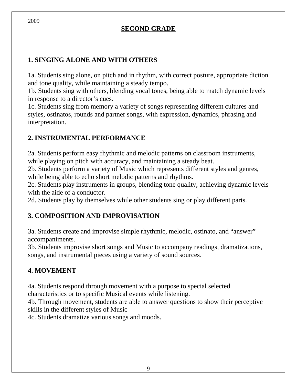## **SECOND GRADE**

## **1. SINGING ALONE AND WITH OTHERS**

1a. Students sing alone, on pitch and in rhythm, with correct posture, appropriate diction and tone quality, while maintaining a steady tempo.

1b. Students sing with others, blending vocal tones, being able to match dynamic levels in response to a director's cues.

1c. Students sing from memory a variety of songs representing different cultures and styles, ostinatos, rounds and partner songs, with expression, dynamics, phrasing and interpretation.

## **2. INSTRUMENTAL PERFORMANCE**

2a. Students perform easy rhythmic and melodic patterns on classroom instruments, while playing on pitch with accuracy, and maintaining a steady beat.

2b. Students perform a variety of Music which represents different styles and genres, while being able to echo short melodic patterns and rhythms.

2c. Students play instruments in groups, blending tone quality, achieving dynamic levels with the aide of a conductor.

2d. Students play by themselves while other students sing or play different parts.

## **3. COMPOSITION AND IMPROVISATION**

3a. Students create and improvise simple rhythmic, melodic, ostinato, and "answer" accompaniments.

3b. Students improvise short songs and Music to accompany readings, dramatizations, songs, and instrumental pieces using a variety of sound sources.

## **4. MOVEMENT**

4a. Students respond through movement with a purpose to special selected characteristics or to specific Musical events while listening.

4b. Through movement, students are able to answer questions to show their perceptive skills in the different styles of Music

4c. Students dramatize various songs and moods.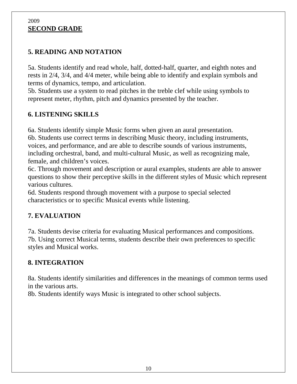#### 2009 **SECOND GRADE**

# **5. READING AND NOTATION**

5a. Students identify and read whole, half, dotted-half, quarter, and eighth notes and rests in 2/4, 3/4, and 4/4 meter, while being able to identify and explain symbols and terms of dynamics, tempo, and articulation.

5b. Students use a system to read pitches in the treble clef while using symbols to represent meter, rhythm, pitch and dynamics presented by the teacher.

# **6. LISTENING SKILLS**

6a. Students identify simple Music forms when given an aural presentation. 6b. Students use correct terms in describing Music theory, including instruments, voices, and performance, and are able to describe sounds of various instruments, including orchestral, band, and multi-cultural Music, as well as recognizing male, female, and children's voices.

6c. Through movement and description or aural examples, students are able to answer questions to show their perceptive skills in the different styles of Music which represent various cultures.

6d. Students respond through movement with a purpose to special selected characteristics or to specific Musical events while listening.

# **7. EVALUATION**

7a. Students devise criteria for evaluating Musical performances and compositions. 7b. Using correct Musical terms, students describe their own preferences to specific styles and Musical works.

## **8. INTEGRATION**

8a. Students identify similarities and differences in the meanings of common terms used in the various arts.

8b. Students identify ways Music is integrated to other school subjects.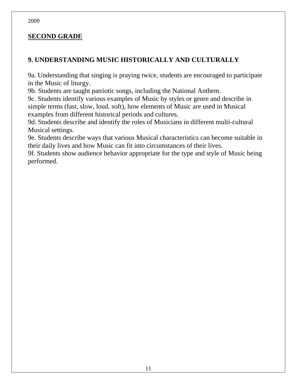#### **SECOND GRADE**

#### **9. UNDERSTANDING MUSIC HISTORICALLY AND CULTURALLY**

9a. Understanding that singing is praying twice, students are encouraged to participate in the Music of liturgy.

9b. Students are taught patriotic songs, including the National Anthem.

9c. Students identify various examples of Music by styles or genre and describe in simple terms (fast, slow, loud. soft), how elements of Music are used in Musical examples from different historical periods and cultures.

9d. Students describe and identify the roles of Musicians in different multi-cultural Musical settings.

9e. Students describe ways that various Musical characteristics can become suitable in their daily lives and how Music can fit into circumstances of their lives.

9f. Students show audience behavior appropriate for the type and style of Music being performed.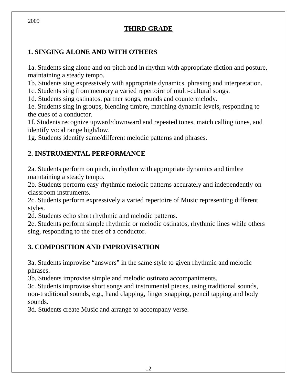# **THIRD GRADE**

## **1. SINGING ALONE AND WITH OTHERS**

1a. Students sing alone and on pitch and in rhythm with appropriate diction and posture, maintaining a steady tempo.

1b. Students sing expressively with appropriate dynamics, phrasing and interpretation.

1c. Students sing from memory a varied repertoire of multi-cultural songs.

1d. Students sing ostinatos, partner songs, rounds and countermelody.

1e. Students sing in groups, blending timbre, matching dynamic levels, responding to the cues of a conductor.

1f. Students recognize upward/downward and repeated tones, match calling tones, and identify vocal range high/low.

1g. Students identify same/different melodic patterns and phrases.

## **2. INSTRUMENTAL PERFORMANCE**

2a. Students perform on pitch, in rhythm with appropriate dynamics and timbre maintaining a steady tempo.

2b. Students perform easy rhythmic melodic patterns accurately and independently on classroom instruments.

2c. Students perform expressively a varied repertoire of Music representing different styles.

2d. Students echo short rhythmic and melodic patterns.

2e. Students perform simple rhythmic or melodic ostinatos, rhythmic lines while others sing, responding to the cues of a conductor.

## **3. COMPOSITION AND IMPROVISATION**

3a. Students improvise "answers" in the same style to given rhythmic and melodic phrases.

3b. Students improvise simple and melodic ostinato accompaniments.

3c. Students improvise short songs and instrumental pieces, using traditional sounds, non-traditional sounds, e.g., hand clapping, finger snapping, pencil tapping and body sounds.

3d. Students create Music and arrange to accompany verse.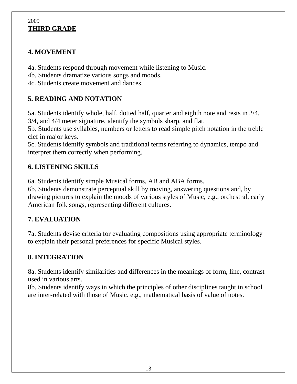#### 2009 **THIRD GRADE**

#### **4. MOVEMENT**

4a. Students respond through movement while listening to Music.

4b. Students dramatize various songs and moods.

4c. Students create movement and dances.

# **5. READING AND NOTATION**

5a. Students identify whole, half, dotted half, quarter and eighth note and rests in 2/4, 3/4, and 4/4 meter signature, identify the symbols sharp, and flat.

5b. Students use syllables, numbers or letters to read simple pitch notation in the treble clef in major keys.

5c. Students identify symbols and traditional terms referring to dynamics, tempo and interpret them correctly when performing.

# **6. LISTENING SKILLS**

6a. Students identify simple Musical forms, AB and ABA forms.

6b. Students demonstrate perceptual skill by moving, answering questions and, by drawing pictures to explain the moods of various styles of Music, e.g., orchestral, early American folk songs, representing different cultures.

## **7. EVALUATION**

7a. Students devise criteria for evaluating compositions using appropriate terminology to explain their personal preferences for specific Musical styles.

## **8. INTEGRATION**

8a. Students identify similarities and differences in the meanings of form, line, contrast used in various arts.

8b. Students identify ways in which the principles of other disciplines taught in school are inter-related with those of Music. e.g., mathematical basis of value of notes.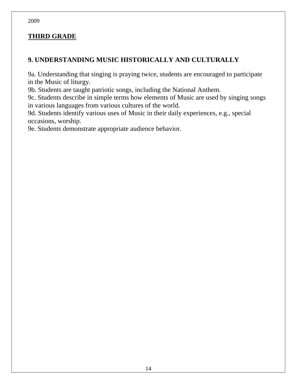## **THIRD GRADE**

#### **9. UNDERSTANDING MUSIC HISTORICALLY AND CULTURALLY**

9a. Understanding that singing is praying twice, students are encouraged to participate in the Music of liturgy.

9b. Students are taught patriotic songs, including the National Anthem.

9c. Students describe in simple terms how elements of Music are used by singing songs in various languages from various cultures of the world.

9d. Students identify various uses of Music in their daily experiences, e.g., special occasions, worship.

9e. Students demonstrate appropriate audience behavior.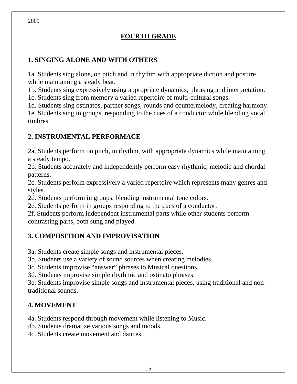# **FOURTH GRADE**

#### **1. SINGING ALONE AND WITH OTHERS**

1a. Students sing alone, on pitch and in rhythm with appropriate diction and posture while maintaining a steady beat.

1b. Students sing expressively using appropriate dynamics, phrasing and interpretation.

1c. Students sing from memory a varied repertoire of multi-cultural songs.

1d. Students sing ostinatos, partner songs, rounds and countermelody, creating harmony. 1e. Students sing in groups, responding to the cues of a conductor while blending vocal timbres.

#### **2. INSTRUMENTAL PERFORMACE**

2a. Students perform on pitch, in rhythm, with appropriate dynamics while maintaining a steady tempo.

2b. Students accurately and independently perform easy rhythmic, melodic and chordal patterns.

2c. Students perform expressively a varied repertoire which represents many genres and styles.

2d. Students perform in groups, blending instrumental tone colors.

2e. Students perform in groups responding to the cues of a conductor.

2f. Students perform independent instrumental parts while other students perform contrasting parts, both sung and played.

#### **3. COMPOSITION AND IMPROVISATION**

3a. Students create simple songs and instrumental pieces.

3b. Students use a variety of sound sources when creating melodies.

3c. Students improvise "answer" phrases to Musical questions.

3d. Students improvise simple rhythmic and ostinato phrases.

3e. Students improvise simple songs and instrumental pieces, using traditional and nontraditional sounds.

#### **4. MOVEMENT**

4a. Students respond through movement while listening to Music.

4b. Students dramatize various songs and moods.

4c. Students create movement and dances.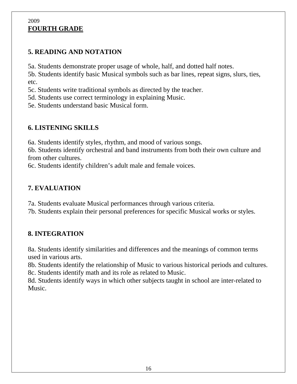#### 2009 **FOURTH GRADE**

# **5. READING AND NOTATION**

5a. Students demonstrate proper usage of whole, half, and dotted half notes.

5b. Students identify basic Musical symbols such as bar lines, repeat signs, slurs, ties, etc.

5c. Students write traditional symbols as directed by the teacher.

5d. Students use correct terminology in explaining Music.

5e. Students understand basic Musical form.

# **6. LISTENING SKILLS**

6a. Students identify styles, rhythm, and mood of various songs.

6b. Students identify orchestral and band instruments from both their own culture and from other cultures.

6c. Students identify children's adult male and female voices.

## **7. EVALUATION**

7a. Students evaluate Musical performances through various criteria. 7b. Students explain their personal preferences for specific Musical works or styles.

## **8. INTEGRATION**

8a. Students identify similarities and differences and the meanings of common terms used in various arts.

8b. Students identify the relationship of Music to various historical periods and cultures. 8c. Students identify math and its role as related to Music.

8d. Students identify ways in which other subjects taught in school are inter-related to Music.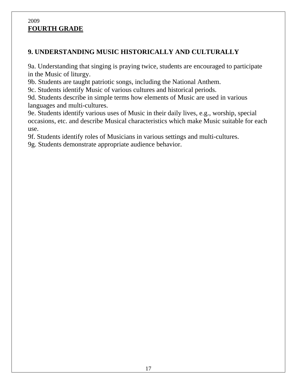#### 2009 **FOURTH GRADE**

#### **9. UNDERSTANDING MUSIC HISTORICALLY AND CULTURALLY**

9a. Understanding that singing is praying twice, students are encouraged to participate in the Music of liturgy.

9b. Students are taught patriotic songs, including the National Anthem.

9c. Students identify Music of various cultures and historical periods.

9d. Students describe in simple terms how elements of Music are used in various languages and multi-cultures.

9e. Students identify various uses of Music in their daily lives, e.g., worship, special occasions, etc. and describe Musical characteristics which make Music suitable for each use.

9f. Students identify roles of Musicians in various settings and multi-cultures.

9g. Students demonstrate appropriate audience behavior.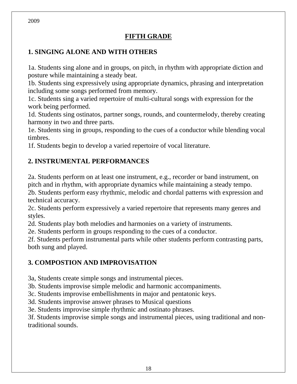#### **FIFTH GRADE**

#### **1. SINGING ALONE AND WITH OTHERS**

1a. Students sing alone and in groups, on pitch, in rhythm with appropriate diction and posture while maintaining a steady beat.

1b. Students sing expressively using appropriate dynamics, phrasing and interpretation including some songs performed from memory.

1c. Students sing a varied repertoire of multi-cultural songs with expression for the work being performed.

1d. Students sing ostinatos, partner songs, rounds, and countermelody, thereby creating harmony in two and three parts.

1e. Students sing in groups, responding to the cues of a conductor while blending vocal timbres.

1f. Students begin to develop a varied repertoire of vocal literature.

#### **2. INSTRUMENTAL PERFORMANCES**

2a. Students perform on at least one instrument, e.g., recorder or band instrument, on pitch and in rhythm, with appropriate dynamics while maintaining a steady tempo. 2b. Students perform easy rhythmic, melodic and chordal patterns with expression and technical accuracy.

2c. Students perform expressively a varied repertoire that represents many genres and styles.

2d. Students play both melodies and harmonies on a variety of instruments.

2e. Students perform in groups responding to the cues of a conductor.

2f. Students perform instrumental parts while other students perform contrasting parts, both sung and played.

#### **3. COMPOSTION AND IMPROVISATION**

3a, Students create simple songs and instrumental pieces.

3b. Students improvise simple melodic and harmonic accompaniments.

3c. Students improvise embellishments in major and pentatonic keys.

3d. Students improvise answer phrases to Musical questions

3e. Students improvise simple rhythmic and ostinato phrases.

3f. Students improvise simple songs and instrumental pieces, using traditional and nontraditional sounds.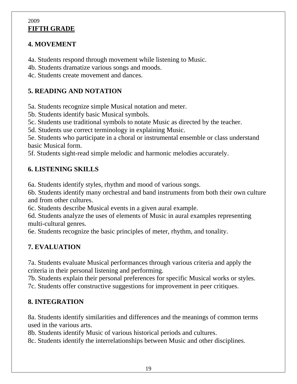#### 2009 **FIFTH GRADE**

## **4. MOVEMENT**

4a. Students respond through movement while listening to Music.

4b. Students dramatize various songs and moods.

4c. Students create movement and dances.

# **5. READING AND NOTATION**

5a. Students recognize simple Musical notation and meter.

5b. Students identify basic Musical symbols.

5c. Students use traditional symbols to notate Music as directed by the teacher.

5d. Students use correct terminology in explaining Music.

5e. Students who participate in a choral or instrumental ensemble or class understand basic Musical form.

5f. Students sight-read simple melodic and harmonic melodies accurately.

# **6. LISTENING SKILLS**

6a. Students identify styles, rhythm and mood of various songs.

6b. Students identify many orchestral and band instruments from both their own culture and from other cultures.

6c. Students describe Musical events in a given aural example.

6d. Students analyze the uses of elements of Music in aural examples representing multi-cultural genres.

6e. Students recognize the basic principles of meter, rhythm, and tonality.

# **7. EVALUATION**

7a. Students evaluate Musical performances through various criteria and apply the criteria in their personal listening and performing.

7b. Students explain their personal preferences for specific Musical works or styles. 7c. Students offer constructive suggestions for improvement in peer critiques.

# **8. INTEGRATION**

8a. Students identify similarities and differences and the meanings of common terms used in the various arts.

8b. Students identify Music of various historical periods and cultures.

8c. Students identify the interrelationships between Music and other disciplines.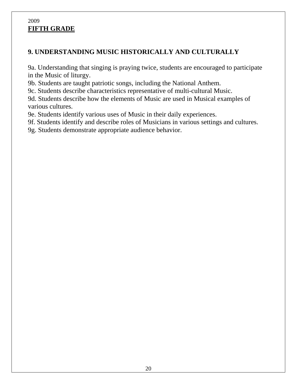#### 2009 **FIFTH GRADE**

## **9. UNDERSTANDING MUSIC HISTORICALLY AND CULTURALLY**

9a. Understanding that singing is praying twice, students are encouraged to participate in the Music of liturgy.

9b. Students are taught patriotic songs, including the National Anthem.

9c. Students describe characteristics representative of multi-cultural Music.

9d. Students describe how the elements of Music are used in Musical examples of various cultures.

9e. Students identify various uses of Music in their daily experiences.

9f. Students identify and describe roles of Musicians in various settings and cultures.

9g. Students demonstrate appropriate audience behavior.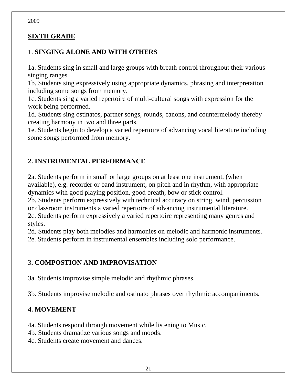#### **SIXTH GRADE**

#### 1. **SINGING ALONE AND WITH OTHERS**

1a. Students sing in small and large groups with breath control throughout their various singing ranges.

1b. Students sing expressively using appropriate dynamics, phrasing and interpretation including some songs from memory.

1c. Students sing a varied repertoire of multi-cultural songs with expression for the work being performed.

1d. Students sing ostinatos, partner songs, rounds, canons, and countermelody thereby creating harmony in two and three parts.

1e. Students begin to develop a varied repertoire of advancing vocal literature including some songs performed from memory.

#### **2. INSTRUMENTAL PERFORMANCE**

2a. Students perform in small or large groups on at least one instrument, (when available), e.g. recorder or band instrument, on pitch and in rhythm, with appropriate dynamics with good playing position, good breath, bow or stick control.

2b. Students perform expressively with technical accuracy on string, wind, percussion or classroom instruments a varied repertoire of advancing instrumental literature. 2c. Students perform expressively a varied repertoire representing many genres and

styles.

2d. Students play both melodies and harmonies on melodic and harmonic instruments. 2e. Students perform in instrumental ensembles including solo performance.

#### 3**. COMPOSTION AND IMPROVISATION**

3a. Students improvise simple melodic and rhythmic phrases.

3b. Students improvise melodic and ostinato phrases over rhythmic accompaniments.

#### **4. MOVEMENT**

4a. Students respond through movement while listening to Music.

4b. Students dramatize various songs and moods.

4c. Students create movement and dances.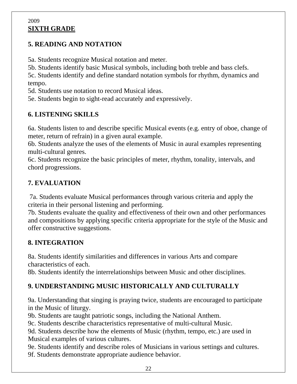#### 2009 **SIXTH GRADE**

## **5. READING AND NOTATION**

5a. Students recognize Musical notation and meter.

5b. Students identify basic Musical symbols, including both treble and bass clefs.

5c. Students identify and define standard notation symbols for rhythm, dynamics and tempo.

5d. Students use notation to record Musical ideas.

5e. Students begin to sight-read accurately and expressively.

# **6. LISTENING SKILLS**

6a. Students listen to and describe specific Musical events (e.g. entry of oboe, change of meter, return of refrain) in a given aural example.

6b. Students analyze the uses of the elements of Music in aural examples representing multi-cultural genres.

6c. Students recognize the basic principles of meter, rhythm, tonality, intervals, and chord progressions.

# **7. EVALUATION**

 7a. Students evaluate Musical performances through various criteria and apply the criteria in their personal listening and performing.

7b. Students evaluate the quality and effectiveness of their own and other performances and compositions by applying specific criteria appropriate for the style of the Music and offer constructive suggestions.

# **8. INTEGRATION**

8a. Students identify similarities and differences in various Arts and compare characteristics of each.

8b. Students identify the interrelationships between Music and other disciplines.

# **9. UNDERSTANDING MUSIC HISTORICALLY AND CULTURALLY**

9a. Understanding that singing is praying twice, students are encouraged to participate in the Music of liturgy.

9b. Students are taught patriotic songs, including the National Anthem.

9c. Students describe characteristics representative of multi-cultural Music.

9d. Students describe how the elements of Music (rhythm, tempo, etc.) are used in Musical examples of various cultures.

9e. Students identify and describe roles of Musicians in various settings and cultures. 9f. Students demonstrate appropriate audience behavior.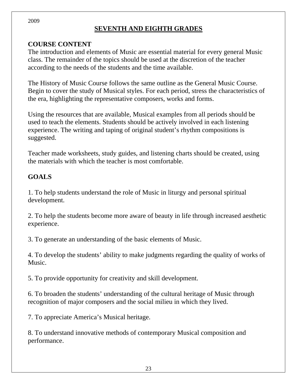# **SEVENTH AND EIGHTH GRADES**

#### **COURSE CONTENT**

The introduction and elements of Music are essential material for every general Music class. The remainder of the topics should be used at the discretion of the teacher according to the needs of the students and the time available.

The History of Music Course follows the same outline as the General Music Course. Begin to cover the study of Musical styles. For each period, stress the characteristics of the era, highlighting the representative composers, works and forms.

Using the resources that are available, Musical examples from all periods should be used to teach the elements. Students should be actively involved in each listening experience. The writing and taping of original student's rhythm compositions is suggested.

Teacher made worksheets, study guides, and listening charts should be created, using the materials with which the teacher is most comfortable.

## **GOALS**

1. To help students understand the role of Music in liturgy and personal spiritual development.

2. To help the students become more aware of beauty in life through increased aesthetic experience.

3. To generate an understanding of the basic elements of Music.

4. To develop the students' ability to make judgments regarding the quality of works of Music.

5. To provide opportunity for creativity and skill development.

6. To broaden the students' understanding of the cultural heritage of Music through recognition of major composers and the social milieu in which they lived.

7. To appreciate America's Musical heritage.

8. To understand innovative methods of contemporary Musical composition and performance.

23

2009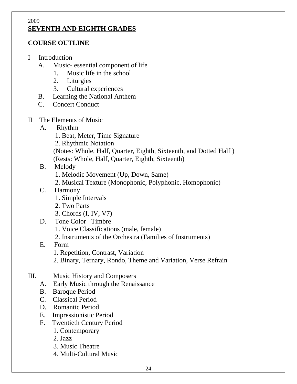#### 2009 **SEVENTH AND EIGHTH GRADES**

#### **COURSE OUTLINE**

- I Introduction
	- A. Music- essential component of life
		- 1. Music life in the school
		- 2. Liturgies
		- 3. Cultural experiences
	- B. Learning the National Anthem
	- C. Concert Conduct
- II The Elements of Music
	- A. Rhythm
		- 1. Beat, Meter, Time Signature
		- 2. Rhythmic Notation
		- (Notes: Whole, Half, Quarter, Eighth, Sixteenth, and Dotted Half )
		- (Rests: Whole, Half, Quarter, Eighth, Sixteenth)
	- B. Melody
		- 1. Melodic Movement (Up, Down, Same)
		- 2. Musical Texture (Monophonic, Polyphonic, Homophonic)
	- C. Harmony
		- 1. Simple Intervals
		- 2. Two Parts
		- 3. Chords (I, IV, V7)
	- D. Tone Color –Timbre
		- 1. Voice Classifications (male, female)
		- 2. Instruments of the Orchestra (Families of Instruments)
	- E. Form
		- 1. Repetition, Contrast, Variation
		- 2. Binary, Ternary, Rondo, Theme and Variation, Verse Refrain
- III. Music History and Composers
	- A. Early Music through the Renaissance
	- B. Baroque Period
	- C. Classical Period
	- D. Romantic Period
	- E. Impressionistic Period
	- F. Twentieth Century Period
		- 1. Contemporary
		- 2. Jazz
		- 3. Music Theatre
		- 4. Multi-Cultural Music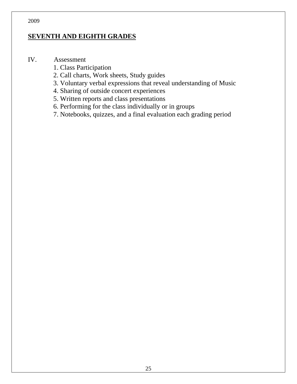#### **SEVENTH AND EIGHTH GRADES**

#### IV. Assessment

- 1. Class Participation
- 2. Call charts, Work sheets, Study guides
- 3. Voluntary verbal expressions that reveal understanding of Music
- 4. Sharing of outside concert experiences
- 5. Written reports and class presentations
- 6. Performing for the class individually or in groups
- 7. Notebooks, quizzes, and a final evaluation each grading period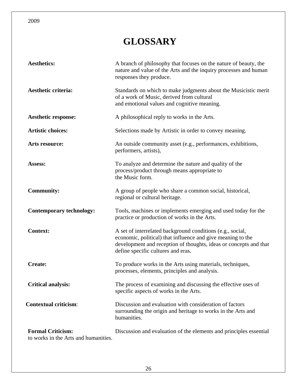# **GLOSSARY**

| <b>Aesthetics:</b>                                               | A branch of philosophy that focuses on the nature of beauty, the<br>nature and value of the Arts and the inquiry processes and human<br>responses they produce.                                                                      |
|------------------------------------------------------------------|--------------------------------------------------------------------------------------------------------------------------------------------------------------------------------------------------------------------------------------|
| <b>Aesthetic criteria:</b>                                       | Standards on which to make judgments about the Musicistic merit<br>of a work of Music, derived from cultural<br>and emotional values and cognitive meaning.                                                                          |
| <b>Aesthetic response:</b>                                       | A philosophical reply to works in the Arts.                                                                                                                                                                                          |
| <b>Artistic choices:</b>                                         | Selections made by Artistic in order to convey meaning.                                                                                                                                                                              |
| Arts resource:                                                   | An outside community asset (e.g., performances, exhibitions,<br>performers, artists),                                                                                                                                                |
| Assess:                                                          | To analyze and determine the nature and quality of the<br>process/product through means appropriate to<br>the Music form.                                                                                                            |
| <b>Community:</b>                                                | A group of people who share a common social, historical,<br>regional or cultural heritage.                                                                                                                                           |
| <b>Contemporary technology:</b>                                  | Tools, machines or implements emerging and used today for the<br>practice or production of works in the Arts.                                                                                                                        |
| <b>Context:</b>                                                  | A set of interrelated background conditions (e.g., social,<br>economic, political) that influence and give meaning to the<br>development and reception of thoughts, ideas or concepts and that<br>define specific cultures and eras. |
| <b>Create:</b>                                                   | To produce works in the Arts using materials, techniques,<br>processes, elements, principles and analysis.                                                                                                                           |
| <b>Critical analysis:</b>                                        | The process of examining and discussing the effective uses of<br>specific aspects of works in the Arts.                                                                                                                              |
| <b>Contextual criticism:</b>                                     | Discussion and evaluation with consideration of factors<br>surrounding the origin and heritage to works in the Arts and<br>humanities.                                                                                               |
| <b>Formal Criticism:</b><br>to works in the Arts and humanities. | Discussion and evaluation of the elements and principles essential                                                                                                                                                                   |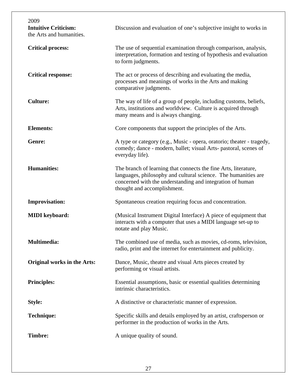| 2009<br><b>Intuitive Criticism:</b><br>the Arts and humanities. | Discussion and evaluation of one's subjective insight to works in                                                                                                                                                             |
|-----------------------------------------------------------------|-------------------------------------------------------------------------------------------------------------------------------------------------------------------------------------------------------------------------------|
| <b>Critical process:</b>                                        | The use of sequential examination through comparison, analysis,<br>interpretation, formation and testing of hypothesis and evaluation<br>to form judgments.                                                                   |
| <b>Critical response:</b>                                       | The act or process of describing and evaluating the media,<br>processes and meanings of works in the Arts and making<br>comparative judgments.                                                                                |
| <b>Culture:</b>                                                 | The way of life of a group of people, including customs, beliefs,<br>Arts, institutions and worldview. Culture is acquired through<br>many means and is always changing.                                                      |
| <b>Elements:</b>                                                | Core components that support the principles of the Arts.                                                                                                                                                                      |
| <b>Genre:</b>                                                   | A type or category (e.g., Music - opera, oratorio; theater - tragedy,<br>comedy; dance - modern, ballet; visual Arts- pastoral, scenes of<br>everyday life).                                                                  |
| <b>Humanities:</b>                                              | The branch of learning that connects the fine Arts, literature,<br>languages, philosophy and cultural science. The humanities are<br>concerned with the understanding and integration of human<br>thought and accomplishment. |
| <b>Improvisation:</b>                                           | Spontaneous creation requiring focus and concentration.                                                                                                                                                                       |
| <b>MIDI</b> keyboard:                                           | (Musical Instrument Digital Interface) A piece of equipment that<br>interacts with a computer that uses a MIDI language set-up to<br>notate and play Music.                                                                   |
| <b>Multimedia:</b>                                              | The combined use of media, such as movies, cd-roms, television,<br>radio, print and the internet for entertainment and publicity.                                                                                             |
| <b>Original works in the Arts:</b>                              | Dance, Music, theatre and visual Arts pieces created by<br>performing or visual artists.                                                                                                                                      |
| <b>Principles:</b>                                              | Essential assumptions, basic or essential qualities determining<br>intrinsic characteristics.                                                                                                                                 |
| <b>Style:</b>                                                   | A distinctive or characteristic manner of expression.                                                                                                                                                                         |
| <b>Technique:</b>                                               | Specific skills and details employed by an artist, craftsperson or<br>performer in the production of works in the Arts.                                                                                                       |
| <b>Timbre:</b>                                                  | A unique quality of sound.                                                                                                                                                                                                    |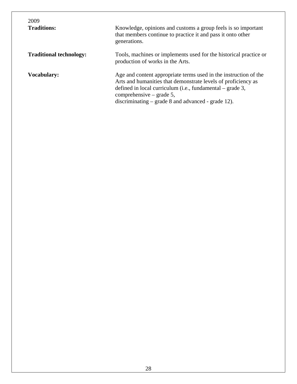| 2009<br><b>Traditions:</b>     | Knowledge, opinions and customs a group feels is so important<br>that members continue to practice it and pass it onto other<br>generations.                                                                                                                                         |
|--------------------------------|--------------------------------------------------------------------------------------------------------------------------------------------------------------------------------------------------------------------------------------------------------------------------------------|
| <b>Traditional technology:</b> | Tools, machines or implements used for the historical practice or<br>production of works in the Arts.                                                                                                                                                                                |
| <b>Vocabulary:</b>             | Age and content appropriate terms used in the instruction of the<br>Arts and humanities that demonstrate levels of proficiency as<br>defined in local curriculum (i.e., fundamental $-$ grade 3,<br>comprehensive – grade 5,<br>discriminating $-$ grade 8 and advanced - grade 12). |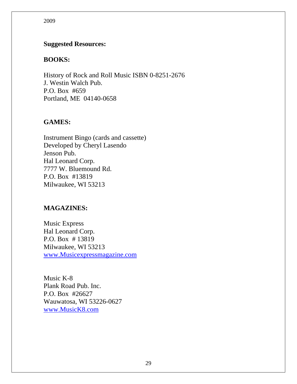#### **Suggested Resources:**

#### **BOOKS:**

History of Rock and Roll Music ISBN 0-8251-2676 J. Westin Walch Pub. P.O. Box #659 Portland, ME 04140-0658

#### **GAMES:**

Instrument Bingo (cards and cassette) Developed by Cheryl Lasendo Jenson Pub. Hal Leonard Corp. 7777 W. Bluemound Rd. P.O. Box #13819 Milwaukee, WI 53213

#### **MAGAZINES:**

Music Express Hal Leonard Corp. P.O. Box # 13819 Milwaukee, WI 53213 www.Musicexpressmagazine.com

Music K-8 Plank Road Pub. Inc. P.O. Box #26627 Wauwatosa, WI 53226-0627 www.MusicK8.com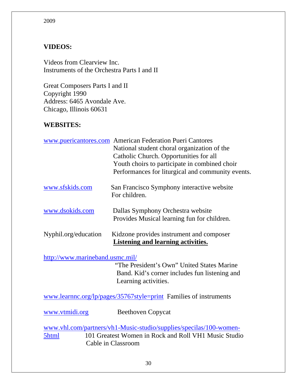## **VIDEOS:**

Videos from Clearview Inc. Instruments of the Orchestra Parts I and II

Great Composers Parts I and II Copyright 1990 Address: 6465 Avondale Ave. Chicago, Illinois 60631

#### **WEBSITES:**

|                      | www.puericantores.com American Federation Pueri Cantores                         |
|----------------------|----------------------------------------------------------------------------------|
|                      | National student choral organization of the                                      |
|                      | Catholic Church. Opportunities for all                                           |
|                      | Youth choirs to participate in combined choir                                    |
|                      | Performances for liturgical and community events.                                |
| www.sfskids.com      | San Francisco Symphony interactive website<br>For children.                      |
| www.dsokids.com      | Dallas Symphony Orchestra website<br>Provides Musical learning fun for children. |
| Nyphil.org/education | Kidzone provides instrument and composer<br>Listening and learning activities.   |

#### http://www.marineband.usmc.mil/

 "The President's Own" United States Marine Band. Kid's corner includes fun listening and Learning activities.

www.learnnc.org/lp/pages/35767style=print Families of instruments

www.vtmidi.org Beethoven Copycat

www.vhl.com/partners/vh1-Music-studio/supplies/specilas/100-women-5html 101 Greatest Women in Rock and Roll VH1 Music Studio Cable in Classroom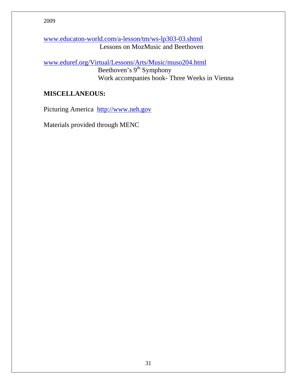www.educaton-world.com/a-lesson/tm/ws-lp303-03.shtml Lessons on MozMusic and Beethoven

www.eduref.org/Virtual/Lessons/Arts/Music/muso204.html Beethoven's  $9<sup>th</sup>$  Symphony Work accompanies book- Three Weeks in Vienna

#### **MISCELLANEOUS:**

Picturing America http://www.neh.gov

Materials provided through MENC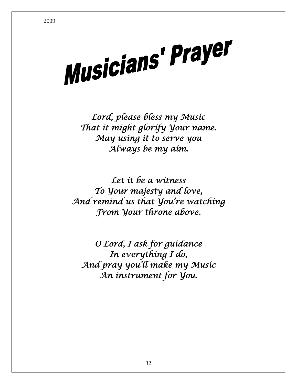Musicians' Prayer

*Lord, please bless my Music That it might glorify Your name. May using it to serve you Always be my aim.* 

*Let it be a witness To Your majesty and love, And remind us that You're watching From Your throne above.* 

*O Lord, I ask for guidance In everything I do, And pray you'll make my Music An instrument for You.*